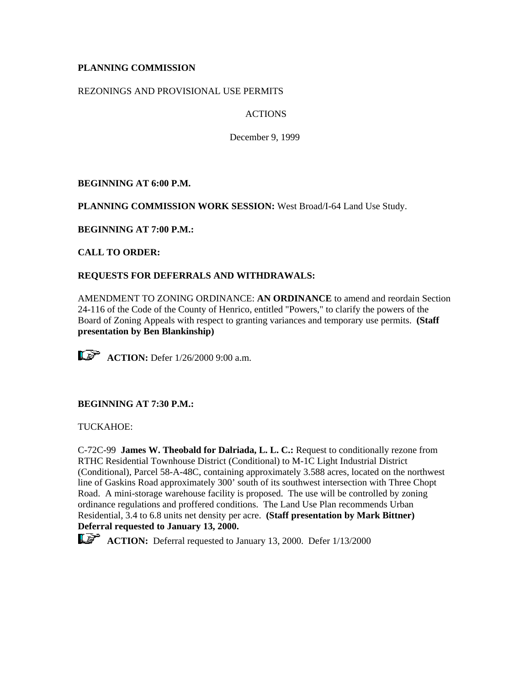# **PLANNING COMMISSION**

## REZONINGS AND PROVISIONAL USE PERMITS

# ACTIONS

December 9, 1999

**BEGINNING AT 6:00 P.M.**

**PLANNING COMMISSION WORK SESSION:** West Broad/I-64 Land Use Study.

**BEGINNING AT 7:00 P.M.:**

**CALL TO ORDER:**

# **REQUESTS FOR DEFERRALS AND WITHDRAWALS:**

AMENDMENT TO ZONING ORDINANCE: **AN ORDINANCE** to amend and reordain Section 24-116 of the Code of the County of Henrico, entitled "Powers," to clarify the powers of the Board of Zoning Appeals with respect to granting variances and temporary use permits. **(Staff presentation by Ben Blankinship)**

 $\mathbb{CP}$  **ACTION:** Defer  $1/26/20009:00$  a.m.

# **BEGINNING AT 7:30 P.M.:**

TUCKAHOE:

C-72C-99 **James W. Theobald for Dalriada, L. L. C.:** Request to conditionally rezone from RTHC Residential Townhouse District (Conditional) to M-1C Light Industrial District (Conditional), Parcel 58-A-48C, containing approximately 3.588 acres, located on the northwest line of Gaskins Road approximately 300' south of its southwest intersection with Three Chopt Road. A mini-storage warehouse facility is proposed. The use will be controlled by zoning ordinance regulations and proffered conditions. The Land Use Plan recommends Urban Residential, 3.4 to 6.8 units net density per acre. **(Staff presentation by Mark Bittner) Deferral requested to January 13, 2000.**



**ACTION:** Deferral requested to January 13, 2000. Defer 1/13/2000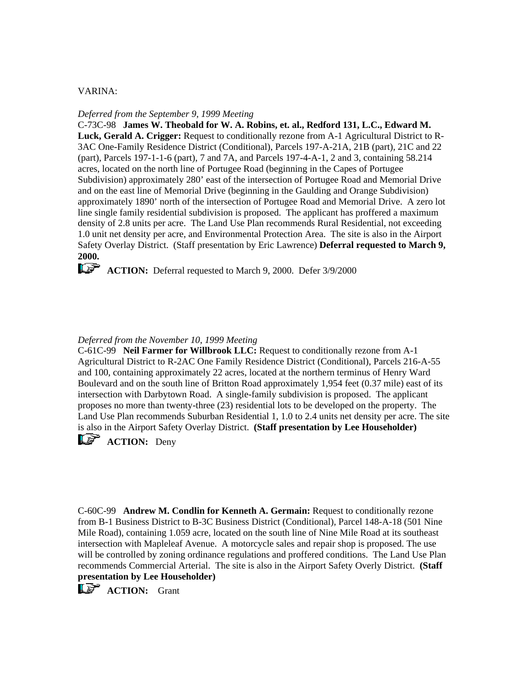### VARINA:

### *Deferred from the September 9, 1999 Meeting*

C-73C-98 **James W. Theobald for W. A. Robins, et. al., Redford 131, L.C., Edward M. Luck, Gerald A. Crigger:** Request to conditionally rezone from A-1 Agricultural District to R-3AC One-Family Residence District (Conditional), Parcels 197-A-21A, 21B (part), 21C and 22 (part), Parcels 197-1-1-6 (part), 7 and 7A, and Parcels 197-4-A-1, 2 and 3, containing 58.214 acres, located on the north line of Portugee Road (beginning in the Capes of Portugee Subdivision) approximately 280' east of the intersection of Portugee Road and Memorial Drive and on the east line of Memorial Drive (beginning in the Gaulding and Orange Subdivision) approximately 1890' north of the intersection of Portugee Road and Memorial Drive. A zero lot line single family residential subdivision is proposed. The applicant has proffered a maximum density of 2.8 units per acre. The Land Use Plan recommends Rural Residential, not exceeding 1.0 unit net density per acre, and Environmental Protection Area. The site is also in the Airport Safety Overlay District. (Staff presentation by Eric Lawrence) **Deferral requested to March 9, 2000.**

**ACTION:** Deferral requested to March 9, 2000. Defer 3/9/2000

#### *Deferred from the November 10, 1999 Meeting*

C-61C-99 **Neil Farmer for Willbrook LLC:** Request to conditionally rezone from A-1 Agricultural District to R-2AC One Family Residence District (Conditional), Parcels 216-A-55 and 100, containing approximately 22 acres, located at the northern terminus of Henry Ward Boulevard and on the south line of Britton Road approximately 1,954 feet (0.37 mile) east of its intersection with Darbytown Road. A single-family subdivision is proposed. The applicant proposes no more than twenty-three (23) residential lots to be developed on the property. The Land Use Plan recommends Suburban Residential 1, 1.0 to 2.4 units net density per acre. The site is also in the Airport Safety Overlay District. **(Staff presentation by Lee Householder)**

**ACTION:** Deny

C-60C-99 **Andrew M. Condlin for Kenneth A. Germain:** Request to conditionally rezone from B-1 Business District to B-3C Business District (Conditional), Parcel 148-A-18 (501 Nine Mile Road), containing 1.059 acre, located on the south line of Nine Mile Road at its southeast intersection with Mapleleaf Avenue. A motorcycle sales and repair shop is proposed. The use will be controlled by zoning ordinance regulations and proffered conditions. The Land Use Plan recommends Commercial Arterial. The site is also in the Airport Safety Overly District. **(Staff presentation by Lee Householder)**

**LET ACTION:** Grant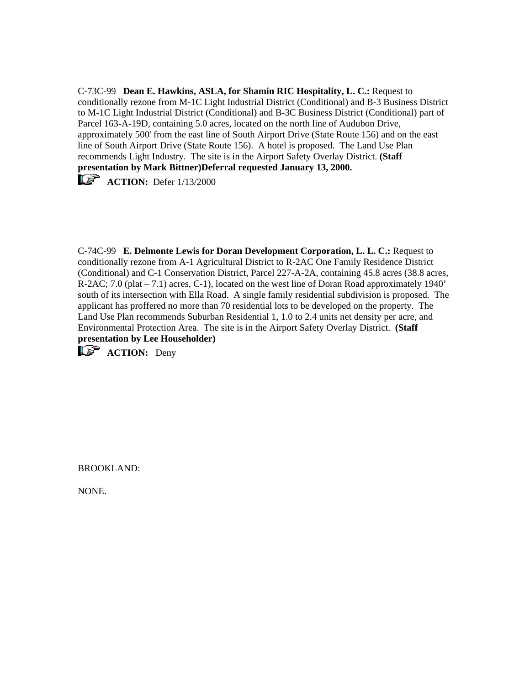C-73C-99 **Dean E. Hawkins, ASLA, for Shamin RIC Hospitality, L. C.:** Request to conditionally rezone from M-1C Light Industrial District (Conditional) and B-3 Business District to M-1C Light Industrial District (Conditional) and B-3C Business District (Conditional) part of Parcel 163-A-19D, containing 5.0 acres, located on the north line of Audubon Drive, approximately 500' from the east line of South Airport Drive (State Route 156) and on the east line of South Airport Drive (State Route 156). A hotel is proposed. The Land Use Plan recommends Light Industry. The site is in the Airport Safety Overlay District. **(Staff presentation by Mark Bittner)Deferral requested January 13, 2000.**

**ACTION:** Defer 1/13/2000

C-74C-99 **E. Delmonte Lewis for Doran Development Corporation, L. L. C.:** Request to conditionally rezone from A-1 Agricultural District to R-2AC One Family Residence District (Conditional) and C-1 Conservation District, Parcel 227-A-2A, containing 45.8 acres (38.8 acres, R-2AC; 7.0 (plat – 7.1) acres, C-1), located on the west line of Doran Road approximately 1940' south of its intersection with Ella Road. A single family residential subdivision is proposed. The applicant has proffered no more than 70 residential lots to be developed on the property. The Land Use Plan recommends Suburban Residential 1, 1.0 to 2.4 units net density per acre, and Environmental Protection Area. The site is in the Airport Safety Overlay District. **(Staff presentation by Lee Householder)**

**ACTION:** Deny

BROOKLAND:

NONE.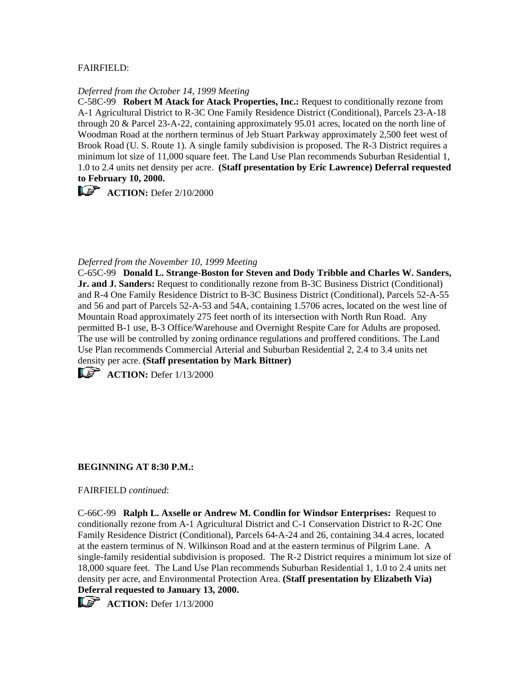## FAIRFIELD:

### *Deferred from the October 14, 1999 Meeting*

C-58C-99 **Robert M Atack for Atack Properties, Inc.:** Request to conditionally rezone from A-1 Agricultural District to R-3C One Family Residence District (Conditional), Parcels 23-A-18 through 20 & Parcel 23-A-22, containing approximately 95.01 acres, located on the north line of Woodman Road at the northern terminus of Jeb Stuart Parkway approximately 2,500 feet west of Brook Road (U. S. Route 1). A single family subdivision is proposed. The R-3 District requires a minimum lot size of 11,000 square feet. The Land Use Plan recommends Suburban Residential 1, 1.0 to 2.4 units net density per acre. **(Staff presentation by Eric Lawrence) Deferral requested to February 10, 2000.**

**ACTION:** Defer 2/10/2000

### *Deferred from the November 10, 1999 Meeting*

C-65C-99 **Donald L. Strange-Boston for Steven and Dody Tribble and Charles W. Sanders, Jr. and J. Sanders:** Request to conditionally rezone from B-3C Business District (Conditional) and R-4 One Family Residence District to B-3C Business District (Conditional), Parcels 52-A-55 and 56 and part of Parcels 52-A-53 and 54A, containing 1.5706 acres, located on the west line of Mountain Road approximately 275 feet north of its intersection with North Run Road. Any permitted B-1 use, B-3 Office/Warehouse and Overnight Respite Care for Adults are proposed. The use will be controlled by zoning ordinance regulations and proffered conditions. The Land Use Plan recommends Commercial Arterial and Suburban Residential 2, 2.4 to 3.4 units net density per acre. **(Staff presentation by Mark Bittner)**

**ACTION:** Defer 1/13/2000

## **BEGINNING AT 8:30 P.M.:**

## FAIRFIELD *continued*:

C-66C-99 **Ralph L. Axselle or Andrew M. Condlin for Windsor Enterprises:** Request to conditionally rezone from A-1 Agricultural District and C-1 Conservation District to R-2C One Family Residence District (Conditional), Parcels 64-A-24 and 26, containing 34.4 acres, located at the eastern terminus of N. Wilkinson Road and at the eastern terminus of Pilgrim Lane. A single-family residential subdivision is proposed. The R-2 District requires a minimum lot size of 18,000 square feet. The Land Use Plan recommends Suburban Residential 1, 1.0 to 2.4 units net density per acre, and Environmental Protection Area. **(Staff presentation by Elizabeth Via) Deferral requested to January 13, 2000.**

 $\mathbf{A}\mathbf{C}$ **TION:** Defer  $1/13/2000$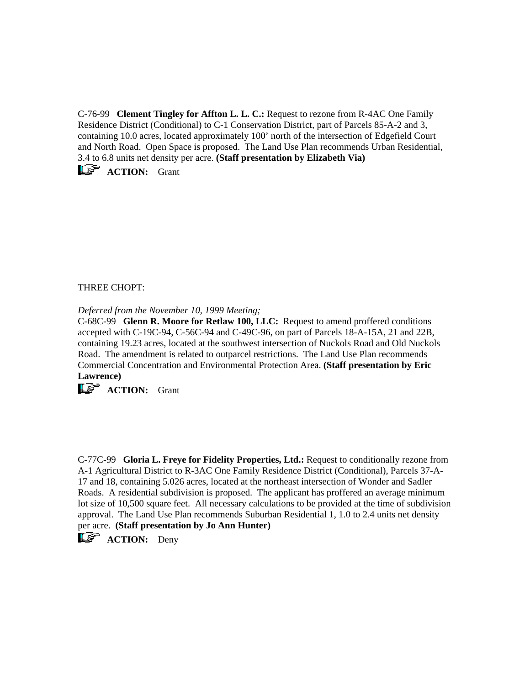C-76-99 **Clement Tingley for Affton L. L. C.:** Request to rezone from R-4AC One Family Residence District (Conditional) to C-1 Conservation District, part of Parcels 85-A-2 and 3, containing 10.0 acres, located approximately 100' north of the intersection of Edgefield Court and North Road. Open Space is proposed. The Land Use Plan recommends Urban Residential, 3.4 to 6.8 units net density per acre. **(Staff presentation by Elizabeth Via)**

 $\mathbb{R}$  **ACTION:** Grant

THREE CHOPT:

*Deferred from the November 10, 1999 Meeting;*

C-68C-99 **Glenn R. Moore for Retlaw 100, LLC:** Request to amend proffered conditions accepted with C-19C-94, C-56C-94 and C-49C-96, on part of Parcels 18-A-15A, 21 and 22B, containing 19.23 acres, located at the southwest intersection of Nuckols Road and Old Nuckols Road. The amendment is related to outparcel restrictions. The Land Use Plan recommends Commercial Concentration and Environmental Protection Area. **(Staff presentation by Eric Lawrence)**

**ACTION:** Grant

C-77C-99 **Gloria L. Freye for Fidelity Properties, Ltd.:** Request to conditionally rezone from A-1 Agricultural District to R-3AC One Family Residence District (Conditional), Parcels 37-A-17 and 18, containing 5.026 acres, located at the northeast intersection of Wonder and Sadler Roads. A residential subdivision is proposed. The applicant has proffered an average minimum lot size of 10,500 square feet. All necessary calculations to be provided at the time of subdivision approval. The Land Use Plan recommends Suburban Residential 1, 1.0 to 2.4 units net density per acre. **(Staff presentation by Jo Ann Hunter)**

**ACTION:** Deny